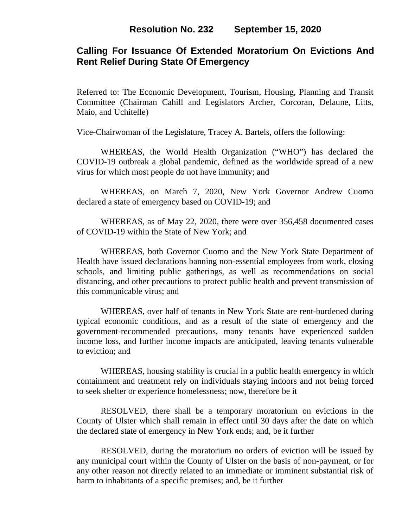## **Calling For Issuance Of Extended Moratorium On Evictions And Rent Relief During State Of Emergency**

Referred to: The Economic Development, Tourism, Housing, Planning and Transit Committee (Chairman Cahill and Legislators Archer, Corcoran, Delaune, Litts, Maio, and Uchitelle)

Vice-Chairwoman of the Legislature, Tracey A. Bartels, offers the following:

WHEREAS, the World Health Organization ("WHO") has declared the COVID-19 outbreak a global pandemic, defined as the worldwide spread of a new virus for which most people do not have immunity; and

WHEREAS, on March 7, 2020, New York Governor Andrew Cuomo declared a state of emergency based on COVID-19; and

WHEREAS, as of May 22, 2020, there were over 356,458 documented cases of COVID-19 within the State of New York; and

WHEREAS, both Governor Cuomo and the New York State Department of Health have issued declarations banning non-essential employees from work, closing schools, and limiting public gatherings, as well as recommendations on social distancing, and other precautions to protect public health and prevent transmission of this communicable virus; and

WHEREAS, over half of tenants in New York State are rent-burdened during typical economic conditions, and as a result of the state of emergency and the government-recommended precautions, many tenants have experienced sudden income loss, and further income impacts are anticipated, leaving tenants vulnerable to eviction; and

WHEREAS, housing stability is crucial in a public health emergency in which containment and treatment rely on individuals staying indoors and not being forced to seek shelter or experience homelessness; now, therefore be it

RESOLVED, there shall be a temporary moratorium on evictions in the County of Ulster which shall remain in effect until 30 days after the date on which the declared state of emergency in New York ends; and, be it further

RESOLVED, during the moratorium no orders of eviction will be issued by any municipal court within the County of Ulster on the basis of non-payment, or for any other reason not directly related to an immediate or imminent substantial risk of harm to inhabitants of a specific premises; and, be it further